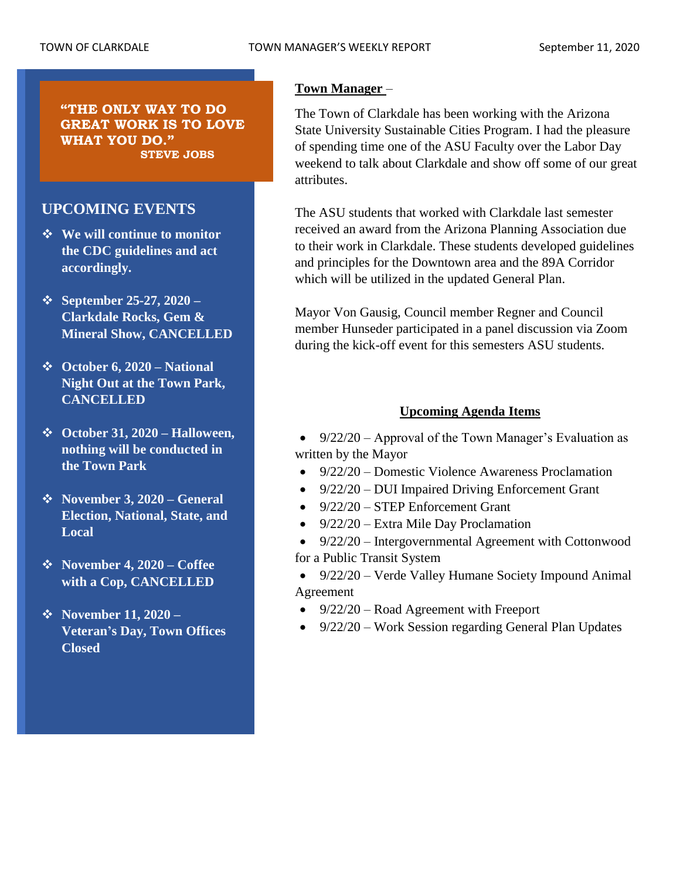**"THE ONLY WAY TO DO GREAT WORK IS TO LOVE WHAT YOU DO." STEVE JOBS**

# **UPCOMING EVENTS**

- ❖ **We will continue to monitor the CDC guidelines and act accordingly.**
- ❖ **September 25-27, 2020 – Clarkdale Rocks, Gem & Mineral Show, CANCELLED**
- ❖ **October 6, 2020 – National Night Out at the Town Park, CANCELLED**
- ❖ **October 31, 2020 – Halloween, nothing will be conducted in the Town Park**
- ❖ **November 3, 2020 – General Election, National, State, and Local**
- ❖ **November 4, 2020 – Coffee with a Cop, CANCELLED**
- ❖ **November 11, 2020 – Veteran's Day, Town Offices Closed**

# **Town Manager** –

The Town of Clarkdale has been working with the Arizona State University Sustainable Cities Program. I had the pleasure of spending time one of the ASU Faculty over the Labor Day weekend to talk about Clarkdale and show off some of our great attributes.

The ASU students that worked with Clarkdale last semester received an award from the Arizona Planning Association due to their work in Clarkdale. These students developed guidelines and principles for the Downtown area and the 89A Corridor which will be utilized in the updated General Plan.

Mayor Von Gausig, Council member Regner and Council member Hunseder participated in a panel discussion via Zoom during the kick-off event for this semesters ASU students.

# **Upcoming Agenda Items**

• 9/22/20 – Approval of the Town Manager's Evaluation as written by the Mayor

- 9/22/20 Domestic Violence Awareness Proclamation
- 9/22/20 DUI Impaired Driving Enforcement Grant
- 9/22/20 STEP Enforcement Grant
- 9/22/20 Extra Mile Day Proclamation
- 9/22/20 Intergovernmental Agreement with Cottonwood for a Public Transit System
- 9/22/20 Verde Valley Humane Society Impound Animal Agreement
- 9/22/20 Road Agreement with Freeport
- 9/22/20 Work Session regarding General Plan Updates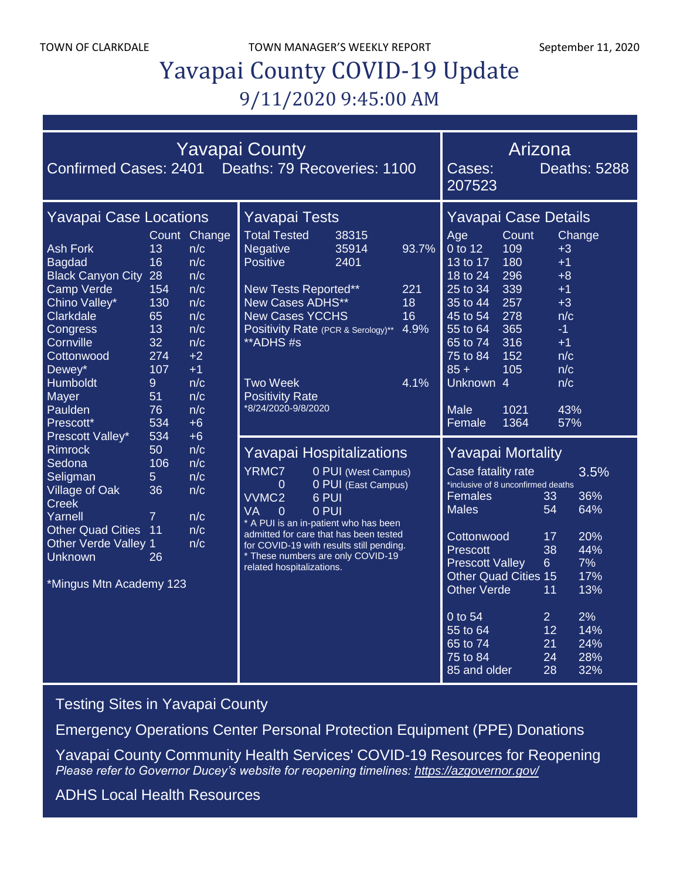TOWN OF CLARKDALE TOWN MANAGER'S WEEKLY REPORT September 11, 2020

# Yavapai County COVID-19 Update 9/11/2020 9:45:00 AM

| <b>Yavapai County</b><br>Confirmed Cases: 2401 Deaths: 79 Recoveries: 1100                                                                                                                                           |                                                                                      |                                                                                                                   |                                                                                                                                                                                                                                                                                                                                                       |                        |                                                                                                                                                                                                                                                                                                                                                                                                                                                                            | Arizona<br><b>Deaths: 5288</b><br>Cases:<br>207523                                                                                                      |                                                                                             |                                                                                                |        |
|----------------------------------------------------------------------------------------------------------------------------------------------------------------------------------------------------------------------|--------------------------------------------------------------------------------------|-------------------------------------------------------------------------------------------------------------------|-------------------------------------------------------------------------------------------------------------------------------------------------------------------------------------------------------------------------------------------------------------------------------------------------------------------------------------------------------|------------------------|----------------------------------------------------------------------------------------------------------------------------------------------------------------------------------------------------------------------------------------------------------------------------------------------------------------------------------------------------------------------------------------------------------------------------------------------------------------------------|---------------------------------------------------------------------------------------------------------------------------------------------------------|---------------------------------------------------------------------------------------------|------------------------------------------------------------------------------------------------|--------|
| <b>Yavapai Case Locations</b>                                                                                                                                                                                        |                                                                                      |                                                                                                                   | <b>Yavapai Tests</b>                                                                                                                                                                                                                                                                                                                                  |                        |                                                                                                                                                                                                                                                                                                                                                                                                                                                                            | Yavapai Case Details                                                                                                                                    |                                                                                             |                                                                                                |        |
| <b>Ash Fork</b><br><b>Bagdad</b><br><b>Black Canyon City</b><br>Camp Verde<br>Chino Valley*<br>Clarkdale<br>Congress<br>Cornville<br>Cottonwood<br>Dewey*<br>Humboldt<br>Mayer<br>Paulden<br>Prescott*               | 13<br>16<br>28<br>154<br>130<br>65<br>13<br>32<br>274<br>107<br>9<br>51<br>76<br>534 | Count Change<br>n/c<br>n/c<br>n/c<br>n/c<br>n/c<br>n/c<br>n/c<br>n/c<br>$+2$<br>$+1$<br>n/c<br>n/c<br>n/c<br>$+6$ | <b>Total Tested</b><br>Negative<br><b>Positive</b><br>New Tests Reported**<br>New Cases ADHS**<br><b>New Cases YCCHS</b><br>Positivity Rate (PCR & Serology)**<br>**ADHS#s<br><b>Two Week</b><br><b>Positivity Rate</b><br>*8/24/2020-9/8/2020                                                                                                        | 38315<br>35914<br>2401 | 93.7%<br>221<br>18<br>16<br>4.9%<br>4.1%                                                                                                                                                                                                                                                                                                                                                                                                                                   | Age<br>0 to 12<br>13 to 17<br>18 to 24<br>25 to 34<br>35 to 44<br>45 to 54<br>55 to 64<br>65 to 74<br>75 to 84<br>$85 +$<br>Unknown 4<br>Male<br>Female | Count<br>109<br>180<br>296<br>339<br>257<br>278<br>365<br>316<br>152<br>105<br>1021<br>1364 | $+3$<br>$+1$<br>$+8$<br>$+1$<br>$+3$<br>n/c<br>$-1$<br>$+1$<br>n/c<br>n/c<br>n/c<br>43%<br>57% | Change |
| Prescott Valley*<br><b>Rimrock</b><br>Sedona<br>Seligman<br><b>Village of Oak</b><br><b>Creek</b><br>Yarnell<br><b>Other Quad Cities</b><br><b>Other Verde Valley 1</b><br><b>Unknown</b><br>*Mingus Mtn Academy 123 | 534<br>50<br>106<br>5<br>36<br>$\overline{7}$<br>$\overline{11}$<br>26               | $+6$<br>n/c<br>n/c<br>n/c<br>n/c<br>n/c<br>n/c<br>n/c                                                             | Yavapai Hospitalizations<br><b>YRMC7</b><br>0 PUI (West Campus)<br>0 PUI (East Campus)<br>0<br>VVMC <sub>2</sub><br>6 PUI<br><b>VA</b><br>0 PUI<br>0<br>* A PUI is an in-patient who has been<br>admitted for care that has been tested<br>for COVID-19 with results still pending.<br>* These numbers are only COVID-19<br>related hospitalizations. |                        | <b>Yavapai Mortality</b><br>Case fatality rate<br>3.5%<br>inclusive of 8 unconfirmed deaths<br>36%<br>Females<br>33<br>64%<br><b>Males</b><br>54<br>Cottonwood<br>17<br>20%<br>44%<br>38<br><b>Prescott</b><br>7%<br>6 <sup>1</sup><br><b>Prescott Valley</b><br><b>Other Quad Cities 15</b><br>17%<br><b>Other Verde</b><br>13%<br>11<br>2%<br>0 to 54<br>$\overline{2}$<br>12<br>14%<br>55 to 64<br>65 to 74<br>21<br>24%<br>28%<br>75 to 84<br>24<br>28<br>85 and older |                                                                                                                                                         |                                                                                             | 32%                                                                                            |        |

[Testing Sites in Yavapai County](https://www.yavapai.us/Portals/39/COVID-19/TestingSitesinYavapaiCounty.pdf)

[Emergency Operations Center Personal Protection Equipment \(PPE\) Donations](http://www.yavapai.us/Portals/39/PPE%20Donations.pdf)

[Yavapai County Community Health Services' COVID-19 Resources for Reopening](https://www.yavapai.us/chs/COVID-19) *Please refer to Governor Ducey's website for reopening timelines: <https://azgovernor.gov/>*

[ADHS Local Health Resources](https://www.azdhs.gov/preparedness/epidemiology-disease-control/infectious-disease-epidemiology/index.php#novel-coronavirus-local-health-resources)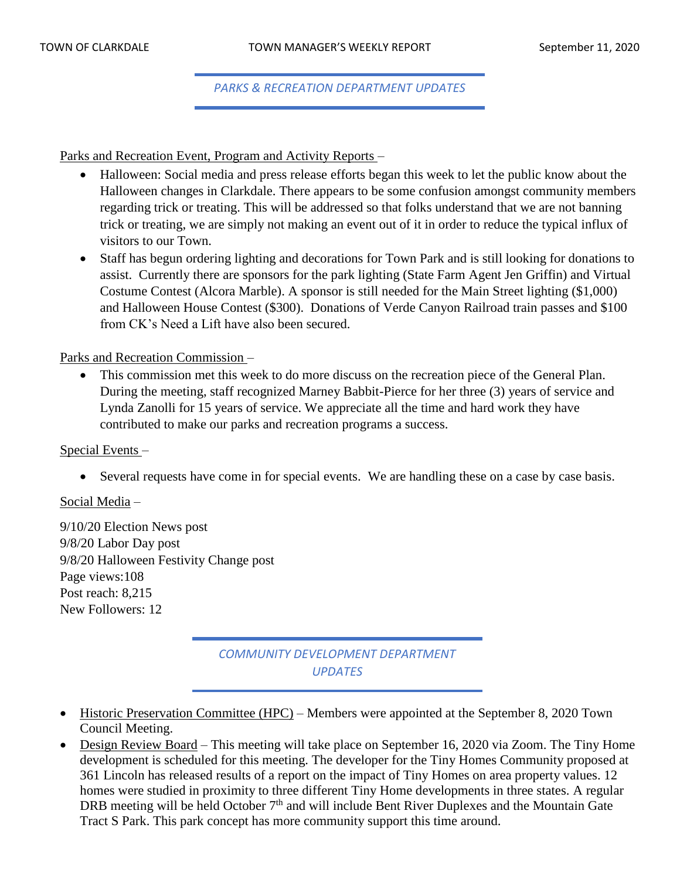*PARKS & RECREATION DEPARTMENT UPDATES*

Parks and Recreation Event, Program and Activity Reports –

- Halloween: Social media and press release efforts began this week to let the public know about the Halloween changes in Clarkdale. There appears to be some confusion amongst community members regarding trick or treating. This will be addressed so that folks understand that we are not banning trick or treating, we are simply not making an event out of it in order to reduce the typical influx of visitors to our Town.
- Staff has begun ordering lighting and decorations for Town Park and is still looking for donations to assist. Currently there are sponsors for the park lighting (State Farm Agent Jen Griffin) and Virtual Costume Contest (Alcora Marble). A sponsor is still needed for the Main Street lighting (\$1,000) and Halloween House Contest (\$300). Donations of Verde Canyon Railroad train passes and \$100 from CK's Need a Lift have also been secured.

Parks and Recreation Commission –

• This commission met this week to do more discuss on the recreation piece of the General Plan. During the meeting, staff recognized Marney Babbit-Pierce for her three (3) years of service and Lynda Zanolli for 15 years of service. We appreciate all the time and hard work they have contributed to make our parks and recreation programs a success.

#### Special Events –

• Several requests have come in for special events. We are handling these on a case by case basis.

Social Media –

9/10/20 Election News post 9/8/20 Labor Day post 9/8/20 Halloween Festivity Change post Page views:108 Post reach: 8,215 New Followers: 12

> *COMMUNITY DEVELOPMENT DEPARTMENT UPDATES*

- Historic Preservation Committee (HPC) Members were appointed at the September 8, 2020 Town Council Meeting.
- Design Review Board This meeting will take place on September 16, 2020 via Zoom. The Tiny Home development is scheduled for this meeting. The developer for the Tiny Homes Community proposed at 361 Lincoln has released results of a report on the impact of Tiny Homes on area property values. 12 homes were studied in proximity to three different Tiny Home developments in three states. A regular DRB meeting will be held October  $7<sup>th</sup>$  and will include Bent River Duplexes and the Mountain Gate Tract S Park. This park concept has more community support this time around.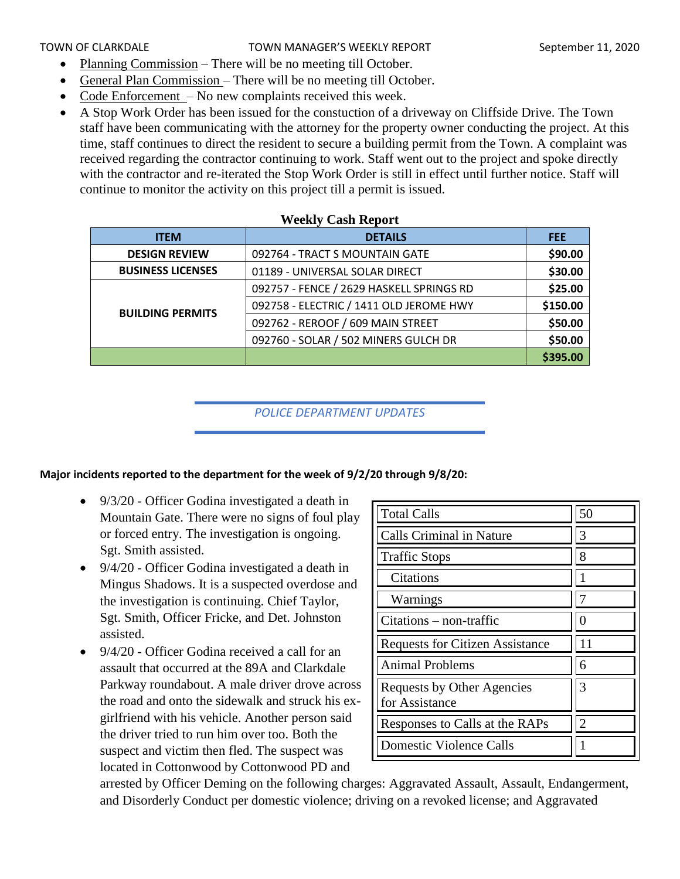#### TOWN OF CLARKDALE TOWN MANAGER'S WEEKLY REPORT September 11, 2020

- Planning Commission There will be no meeting till October.
- General Plan Commission There will be no meeting till October.
- Code Enforcement No new complaints received this week.
- A Stop Work Order has been issued for the constuction of a driveway on Cliffside Drive. The Town staff have been communicating with the attorney for the property owner conducting the project. At this time, staff continues to direct the resident to secure a building permit from the Town. A complaint was received regarding the contractor continuing to work. Staff went out to the project and spoke directly with the contractor and re-iterated the Stop Work Order is still in effect until further notice. Staff will continue to monitor the activity on this project till a permit is issued.

| <u>mechny</u> Cash Report |                                          |            |  |  |  |  |
|---------------------------|------------------------------------------|------------|--|--|--|--|
| <b>ITEM</b>               | <b>DETAILS</b>                           | <b>FEE</b> |  |  |  |  |
| <b>DESIGN REVIEW</b>      | 092764 - TRACT S MOUNTAIN GATE           | \$90.00    |  |  |  |  |
| <b>BUSINESS LICENSES</b>  | 01189 - UNIVERSAL SOLAR DIRECT           | \$30.00    |  |  |  |  |
|                           | 092757 - FENCE / 2629 HASKELL SPRINGS RD | \$25.00    |  |  |  |  |
| <b>BUILDING PERMITS</b>   | 092758 - ELECTRIC / 1411 OLD JEROME HWY  | \$150.00   |  |  |  |  |
|                           | 092762 - REROOF / 609 MAIN STREET        | \$50.00    |  |  |  |  |
|                           | 092760 - SOLAR / 502 MINERS GULCH DR     | \$50.00    |  |  |  |  |
|                           |                                          | \$395.00   |  |  |  |  |

#### **Weekly Cash Report**

### *POLICE DEPARTMENT UPDATES*

#### **Major incidents reported to the department for the week of 9/2/20 through 9/8/20:**

- 9/3/20 Officer Godina investigated a death in Mountain Gate. There were no signs of foul play or forced entry. The investigation is ongoing. Sgt. Smith assisted.
- 9/4/20 Officer Godina investigated a death in Mingus Shadows. It is a suspected overdose and the investigation is continuing. Chief Taylor, Sgt. Smith, Officer Fricke, and Det. Johnston assisted.
- 9/4/20 Officer Godina received a call for an assault that occurred at the 89A and Clarkdale Parkway roundabout. A male driver drove across the road and onto the sidewalk and struck his exgirlfriend with his vehicle. Another person said the driver tried to run him over too. Both the suspect and victim then fled. The suspect was located in Cottonwood by Cottonwood PD and

| <b>Total Calls</b>                           | 50 |
|----------------------------------------------|----|
| <b>Calls Criminal in Nature</b>              | 3  |
| <b>Traffic Stops</b>                         | 8  |
| Citations                                    |    |
| Warnings                                     |    |
| $Citations - non-traffic$                    |    |
| <b>Requests for Citizen Assistance</b>       | 11 |
| <b>Animal Problems</b>                       | 6  |
| Requests by Other Agencies<br>for Assistance | 3  |
| Responses to Calls at the RAPs               | 2  |
| Domestic Violence Calls                      |    |

arrested by Officer Deming on the following charges: Aggravated Assault, Assault, Endangerment, and Disorderly Conduct per domestic violence; driving on a revoked license; and Aggravated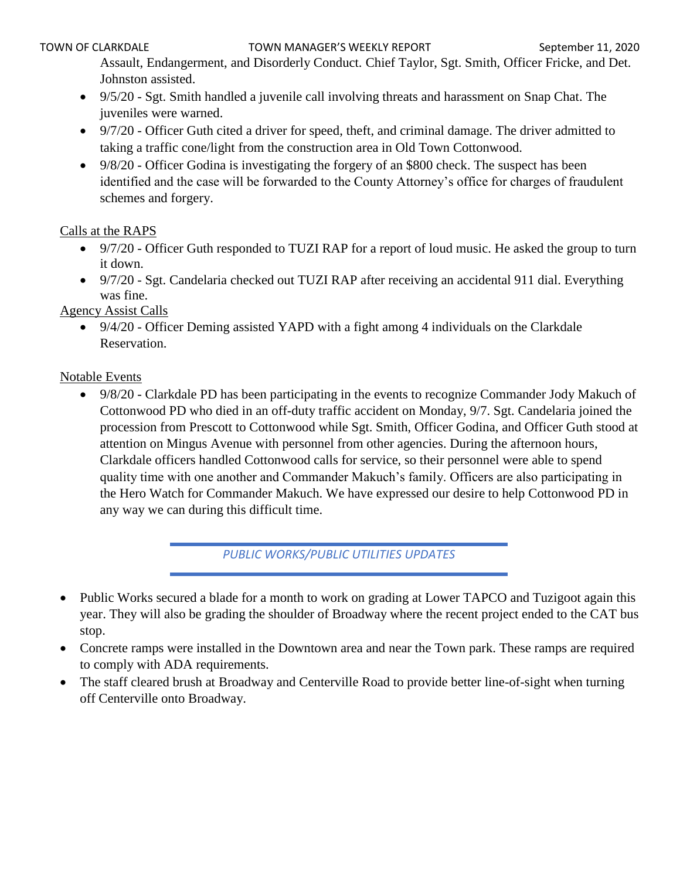Assault, Endangerment, and Disorderly Conduct. Chief Taylor, Sgt. Smith, Officer Fricke, and Det. Johnston assisted.

- 9/5/20 Sgt. Smith handled a juvenile call involving threats and harassment on Snap Chat. The juveniles were warned.
- 9/7/20 Officer Guth cited a driver for speed, theft, and criminal damage. The driver admitted to taking a traffic cone/light from the construction area in Old Town Cottonwood.
- 9/8/20 Officer Godina is investigating the forgery of an \$800 check. The suspect has been identified and the case will be forwarded to the County Attorney's office for charges of fraudulent schemes and forgery.

## Calls at the RAPS

- 9/7/20 Officer Guth responded to TUZI RAP for a report of loud music. He asked the group to turn it down.
- 9/7/20 Sgt. Candelaria checked out TUZI RAP after receiving an accidental 911 dial. Everything was fine.

Agency Assist Calls

• 9/4/20 - Officer Deming assisted YAPD with a fight among 4 individuals on the Clarkdale Reservation.

## Notable Events

• 9/8/20 - Clarkdale PD has been participating in the events to recognize Commander Jody Makuch of Cottonwood PD who died in an off-duty traffic accident on Monday, 9/7. Sgt. Candelaria joined the procession from Prescott to Cottonwood while Sgt. Smith, Officer Godina, and Officer Guth stood at attention on Mingus Avenue with personnel from other agencies. During the afternoon hours, Clarkdale officers handled Cottonwood calls for service, so their personnel were able to spend quality time with one another and Commander Makuch's family. Officers are also participating in the Hero Watch for Commander Makuch. We have expressed our desire to help Cottonwood PD in any way we can during this difficult time.

*PUBLIC WORKS/PUBLIC UTILITIES UPDATES*

- Public Works secured a blade for a month to work on grading at Lower TAPCO and Tuzigoot again this year. They will also be grading the shoulder of Broadway where the recent project ended to the CAT bus stop.
- Concrete ramps were installed in the Downtown area and near the Town park. These ramps are required to comply with ADA requirements.
- The staff cleared brush at Broadway and Centerville Road to provide better line-of-sight when turning off Centerville onto Broadway.